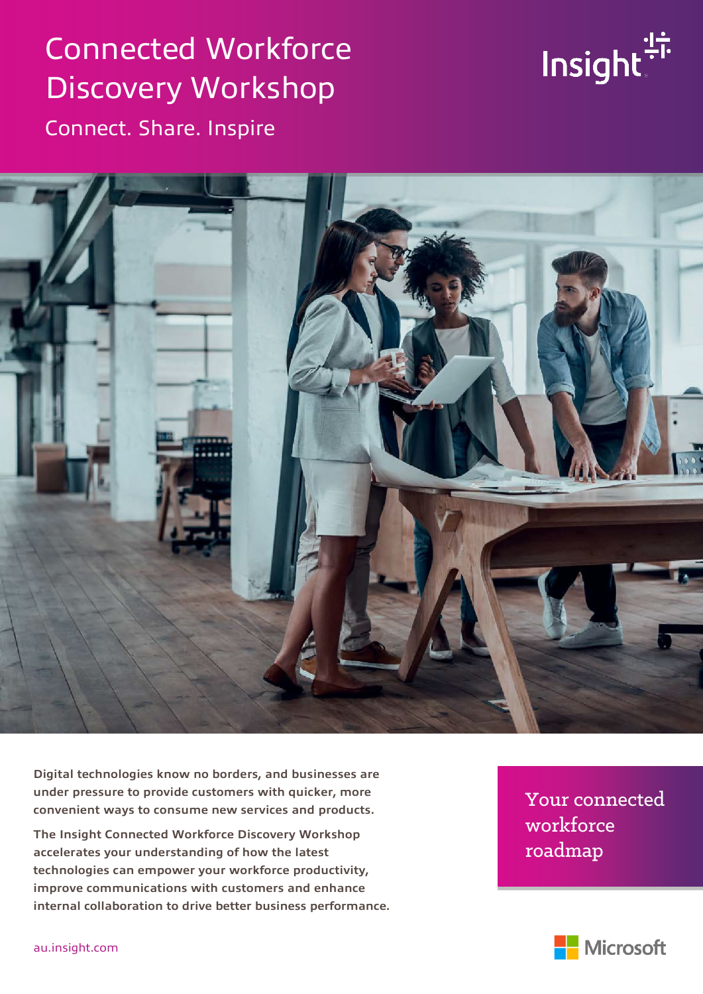# Connected Workforce Discovery Workshop Connect. Share. Inspire





**Digital technologies know no borders, and businesses are under pressure to provide customers with quicker, more convenient ways to consume new services and products.**

**The Insight Connected Workforce Discovery Workshop accelerates your understanding of how the latest technologies can empower your workforce productivity, improve communications with customers and enhance internal collaboration to drive better business performance.**  Your connected Your connected workforce roadmap